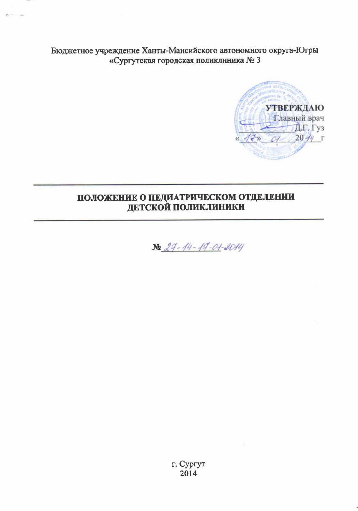Бюджетное учреждение Ханты-Мансийского автономного округа-Югры «Сургутская городская поликлиника № 3



# ПОЛОЖЕНИЕ О ПЕДИАТРИЧЕСКОМ ОТДЕЛЕНИИ **ДЕТСКОЙ ПОЛИКЛИНИКИ**



г. Сургут 2014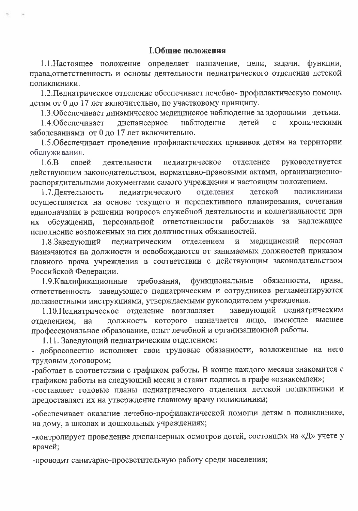### **I.Общие положения**

1.1. Настоящее положение определяет назначение, цели, задачи, функции, права, ответственность и основы деятельности педиатрического отделения детской поликлиники.

1.2. Педиатрическое отделение обеспечивает лечебно-профилактическую помощь детям от 0 до 17 лет включительно, по участковому принципу.

1.3. Обеспечивает динамическое медицинское наблюдение за здоровыми детьми.

детей хроническими диспансерное наблюдение  $\mathbf{c}$ 1.4. Обеспечивает заболеваниями от 0 до 17 лет включительно.

1.5. Обеспечивает проведение профилактических прививок детям на территории обслуживания.

руководствуется  $1.6.B$ своей деятельности педиатрическое отделение действующим законодательством, нормативно-правовыми актами, организационнораспорядительными документами самого учреждения и настоящим положением.

педиатрического отделения детской поликлиники 1.7. Пеятельность осуществляется на основе текущего и перспективного планирования, сочетания единоначалия в решении вопросов служебной деятельности и коллегиальности при обсуждении, персональной ответственности работников за надлежащее **HX** исполнение возложенных на них должностных обязанностей.

педиатрическим отделением  $\mathbf{M}$ медицинский персонал 1.8.Заведующий назначаются на должности и освобождаются от занимаемых должностей приказом главного врача учреждения в соответствии с действующим законодательством Российской Федерации.

обязанности, права, 1.9. Квалификационные требования, функциональные ответственность заведующего педиатрическим и сотрудников регламентируются должностными инструкциями, утверждаемыми руководителем учреждения.

1.10. Педиатрическое отделение возглавляет заведующий педиатрическим должность которого назначается лицо, имеющее высшее отделением, на профессиональное образование, опыт лечебной и организационной работы.

1.11. Заведующий педиатрическим отделением:

- добросовестно исполняет свои трудовые обязанности, возложенные на него трудовым договором;

-работает в соответствии с графиком работы. В конце каждого месяца знакомится с графиком работы на следующий месяц и ставит подпись в графе «ознакомлен»;

-составляет годовые планы педиатрического отделения детской поликлиники и предоставляет их на утверждение главному врачу поликлиники;

-обеспечивает оказание лечебно-профилактической помощи детям в поликлинике, на дому, в школах и дошкольных учреждениях;

-контролирует проведение диспансерных осмотров детей, состоящих на «Д» учете у врачей;

-проводит санитарно-просветительную работу среди населения;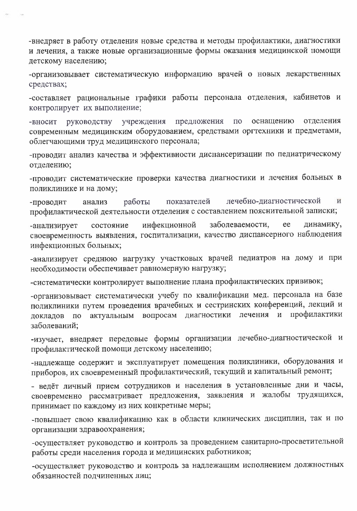-внедряет в работу отделения новые средства и методы профилактики, диагностики и лечения, а также новые организационные формы оказания медицинской помощи детскому населению;

-организовывает систематическую информацию врачей о новых лекарственных средствах;

-составляет рациональные графики работы персонала отделения, кабинетов и контролирует их выполнение;

предложения  $\Pi{\bf 0}$ оснащению отделения -вносит руководству учреждения современным медицинским оборудованием, средствами оргтехники и предметами, облегчающими труд медицинского персонала;

-проводит анализ качества и эффективности диспансеризации по педиатрическому отделению;

-проводит систематические проверки качества диагностики и лечения больных в поликлинике и на дому;

работы показателей лечебно-диагностической И -проводит анализ профилактической деятельности отделения с составлением пояснительной записки;

заболеваемости, инфекционной ee динамику, состояние -анализирует своевременность выявления, госпитализации, качество диспансерного наблюдения инфекционных больных;

-анализирует среднюю нагрузку участковых врачей педиатров на дому и при необходимости обеспечивает равномерную нагрузку;

-систематически контролирует выполнение плана профилактических прививок;

-организовывает систематически учебу по квалификации мед. персонала на базе поликлиники путем проведения врачебных и сестринских конференций, лекций и лечения и профилактики вопросам диагностики докладов по актуальным заболеваний;

-изучает, внедряет передовые формы организации лечебно-диагностической и профилактической помощи детскому населению;

-надлежаще содержит и эксплуатирует помещения поликлиники, оборудования и приборов, их своевременный профилактический, текущий и капитальный ремонт;

- ведёт личный прием сотрудников и населения в установленные дни и часы, своевременно рассматривает предложения, заявления и жалобы трудящихся, принимает по каждому из них конкретные меры;

-повышает свою квалификацию как в области клинических дисциплин, так и по организации здравоохранения;

-осуществляет руководство и контроль за проведением санитарно-просветительной работы среди населения города и медицинских работников;

-осуществляет руководство и контроль за надлежащим исполнением должностных обязанностей подчиненных лиц;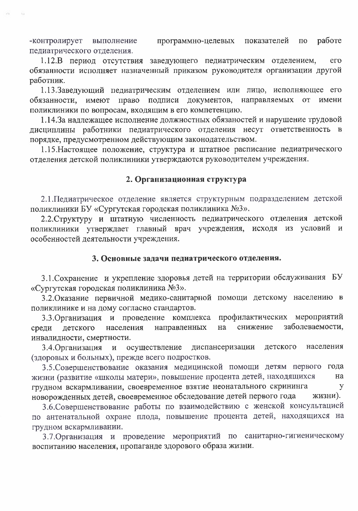работе программно-целевых показателей -контролирует выполнение  $\Pi$ <sup>o</sup> педиатрического отделения.

1.12.В период отсутствия заведующего педиатрическим отделением, ero обязанности исполняет назначенный приказом руководителя организации другой работник.

1.13.Заведующий педиатрическим отделением или лицо, исполняющее его обязанности, имеют право подписи документов, направляемых **OT** имени поликлиники по вопросам, входящим в его компетенцию.

1.14.За надлежащее исполнение должностных обязаностей и нарушение трудовой дисциплины работники педиатрического отделения несут ответственность в порядке, предусмотренном действующим законодательством.

1.15. Настоящее положение, структура и штатное расписание педиатрического отделения детской поликлиники утверждаются руководителем учреждения.

# 2. Организационная структура

2.1. Педиатрическое отделение является структурным подразделением детской поликлиники БУ «Сургутская городская поликлиника №3».

2.2. Структуру и штатную численность педиатрического отделения детской поликлиники утверждает главный врач учреждения, исходя из условий и особенностей деятельности учреждения.

## 3. Основные задачи педиатрического отделения.

3.1. Сохранение и укрепление здоровья детей на территории обслуживания БУ «Сургутская городская поликлиника №3».

3.2. Оказание первичной медико-санитарной помощи детскому населению в поликлинике и на дому согласно стандартов.

профилактических мероприятий 3.3. Организация и проведение комплекса заболеваемости, снижение детского направленных среди населения на инвалидности, смертности.

диспансеризации 3.4. Организация осуществление детского населения  $\boldsymbol{\mathrm{M}}$ (здоровых и больных), прежде всего подростков.

3.5. Совершенствование оказания медицинской помощи детям первого года жизни (развитие «школы матери», повышение процента детей, находящихся на грудном вскармливании, своевременное взятие неонатального скрининга y новорожденных детей, своевременное обследование детей первого года жизни).

3.6. Совершенствование работы по взаимодействию с женской консультацией по антенатальной охране плода, повышение процента детей, находящихся на грудном вскармливании.

3.7. Организация и проведение мероприятий по санитарно-гигиеническому воспитанию населения, пропаганде здорового образа жизни.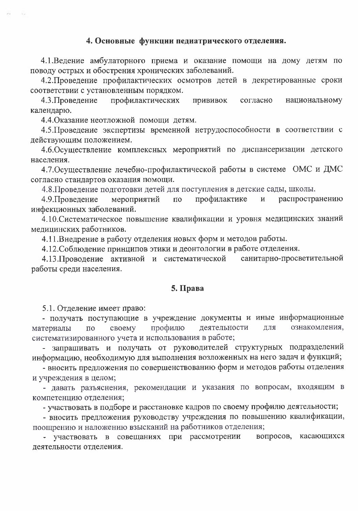## 4. Основные функции педиатрического отделения.

4.1. Ведение амбулаторного приема и оказание помощи на дому детям по поводу острых и обострения хронических заболеваний.

4.2. Проведение профилактических осмотров детей в декретированные сроки соответствии с установленным порядком.

4.3. Проведение профилактических прививок национальному согласно календарю.

4.4. Оказание неотложной помощи детям.

4.5. Проведение экспертизы временной нетрудоспособности в соответствии с действующим положением.

4.6. Осуществление комплексных мероприятий по диспансеризации детского населения.

4.7. Осуществление лечебно-профилактической работы в системе ОМС и ДМС согласно стандартов оказания помощи.

4.8. Проведение подготовки детей для поступления в детские сады, школы.

мероприятий профилактике 4.9. Проведение  $\overline{10}$ распространению  $\mathbf{M}$ инфекционных заболеваний.

4.10. Систематическое повышение квалификации и уровня медицинских знаний медицинских работников.

4.11. Внедрение в работу отделения новых форм и методов работы.

4.12. Соблюдение принципов этики и деонтологии в работе отделения.

4.13. Проводение активной и систематической санитарно-просветительной работы среди населения.

#### 5. Права

5.1. Отделение имеет право:

- получать поступающие в учреждение документы и иные информационные профилю ознакомления, материалы  $\overline{10}$ своему деятельности ДЛЯ систематизированного учета и использования в работе;

- запрашивать и получать от руководителей структурных подразделений информацию, необходимую для выполнения возложенных на него задач и функций;

- вносить предложения по совершенствованию форм и методов работы отделения и учреждения в целом;

- давать разъяснения, рекомендации и указания по вопросам, входящим в компетенцию отделения;

- участвовать в подборе и расстановке кадров по своему профилю деятельности;

- вносить предложения руководству учреждения по повышению квалификации, поощрению и наложению взысканий на работников отделения;

- участвовать в совещаниях при рассмотрении вопросов, касающихся деятельности отделения.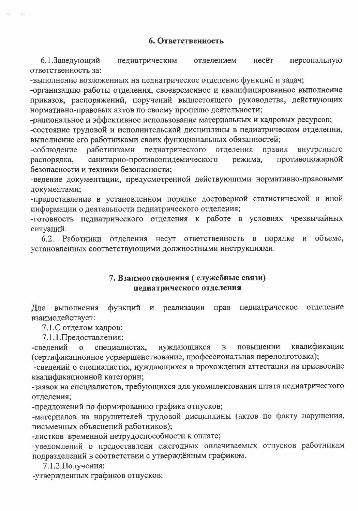### 6. Ответственность

6.1.Заведующий педиатрическим несёт персональную отделением ответственность за:

-выполнение возложенных на педиатрическое отделение функций и задач;

-организацию работы отделения, своевременное и квалифицированное выполнение приказов, распоряжений, поручений вышестоящего руководства, действующих нормативно-правовых актов по своему профилю деятельности;

-рациональное и эффективное использование материальных и кадровых ресурсов;

-состояние трудовой и исполнительской дисциплины в педиатрическом отделении, выполнение его работниками своих функциональных обязанностей;

-соблюдение работниками педиатрического отделения правил внутреннего санитарно-противоэпидемического противопожарной режима, распорядка, безопасности и техники безопасности;

-ведение документации, предусмотренной действующими нормативно-правовыми документами;

-предоставление в установленном порядке достоверной статистической и иной информации о деятельности педиатрического отделения;

-готовность педиатрического отделения к работе в условиях чрезвычайных ситуаций.

6.2. Работники отделения несут ответственность порядке объеме,  $\overline{B}$ И установленных соответствующими должностными инструкциями.

## 7. Взаимоотношения (служебные связи) педиатрического отделения

функций и реализации педиатрическое отделение Для выполнения прав взаимодействует:

7.1.С отделом кадров:

7.1.1. Предоставления:

квалификации -сведений специалистах, нуждающихся  $\mathbf{B}$ повышении  $\mathbf{o}$ (сертификационное усрвершенствование, профессиональная переподготовка);

-сведений о специалистах, нуждающихся в прохождении аттестации на присвоение квалификационной категории;

-заявок на специалистов, требующихся для укомплектования штата педиатрического отделения;

-предложений по формированию графика отпусков;

-материалов на нарушителей трудовой дисциплины (актов по факту нарушения, письменных объяснений работников);

-листков временной нетрудоспособности к оплате;

-уведомлений о предоставлени ежегодных оплачиваемых отпусков работникам подразделений в соответствии с утверждённым графиком.

7.1.2. Получения:

-утвержденных графиков отпусков;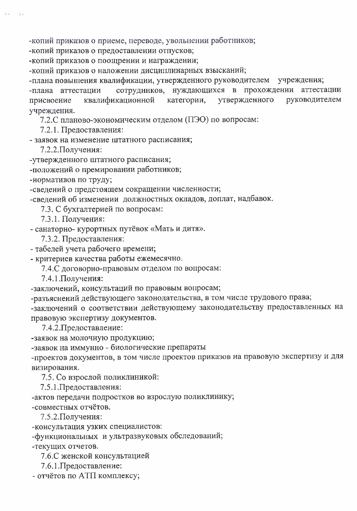-копий приказов о приеме, переводе, увольнении работников;

-копий приказов о предоставлении отпусков;

-копий приказов о поощрении и награждении;

-копий приказов о наложении дисциплинарных взысканий;

-плана повышения квалификации, утвержденного руководителем учреждения;

сотрудников, нуждающихся в прохождении аттестации -плана аттестации категории, утвержденного квалификационной руководителем присвоение учреждения.

7.2.С планово-экономическим отделом (ПЭО) по вопросам:

7.2.1. Предоставления:

- заявок на изменение штатного расписания;

7.2.2. Получения:

-утвержденного штатного расписания;

-положений о премировании работников;

-нормативов по труду;

-сведений о предстоящем сокращении численности;

-сведений об изменении должностных окладов, доплат, надбавок.

7.3. С бухгалтерией по вопросам:

7.3.1. Получения:

- санаторно- курортных путёвок «Мать и дитя».

7.3.2. Предоставления:

- табелей учета рабочего времени;

- критериев качества работы ежемесячно.

7.4.С договорно-правовым отделом по вопросам:

7.4.1. Получения:

-заключений, консультаций по правовым вопросам;

-разъяснений действующего законодательства, в том числе трудового права;

-заключений о соответствии действующему законодательству предоставленных на правовую экспертизу документов.

7.4.2. Предоставление:

-заявок на молочную продукцию;

-заявок на иммунно - биологические препараты

-проектов документов, в том числе проектов приказов на правовую экспертизу и для визирования.

7.5. Со взрослой поликлиникой:

7.5.1. Предоставления:

-актов передачи подростков во взрослую поликлинику;

-совместных отчётов.

7.5.2. Получения:

-консультация узких специалистов:

-функциональных и ультразвуковых обследований;

-текущих отчетов.

7.6.С женской консультацией

7.6.1. Предоставление:

- отчётов по АТП комплексу;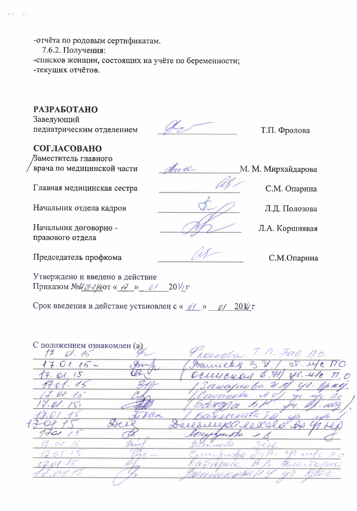-отчёта по родовым сертификатам. 7.6.2. Получения: -списков женщин, состоящих на учёте по беременности; -текущих отчётов.

# **РАЗРАБОТАНО**

Заведующий педиатрическим отделением

СОГЛАСОВАНО

Заместитель главного врача по медицинской части

Главная медицинская сестра

Начальник отдела кадров

Начальник договорно правового отдела

Председатель профкома

Утверждено и введено в действие Приказом №409-2/40 к +2 » 01 201/г

Срок введения в действие установлен с « 0( » 0/ 201/г

С положением ознакомлен (а)  $14.01.45$  $\mathcal{Q}$ .  $17.01.15$ et. Me  $\overline{D}$ Saucell  $14.01.15$  $6.71$  $48.42$ Deceyeyare TT , O  $17 - 01.15$ Sanciento U ST II. OP  $\sqrt{2}$ . / Si  $\ell$  $411$ Decebilee pa le 20 1701  $\sqrt{2}$ Pour 19-t 73 eller pusho este  $\overline{\mathcal{O}}$  / capitpelo acus 12

 $\mathcal{L}_{2}$ 

Т.П. Фролова

М. М. Мирхайдарова

Л.А. Коршнявая

С.М. Опарина

Л.Д. Полозова

С.М.Опарина

June